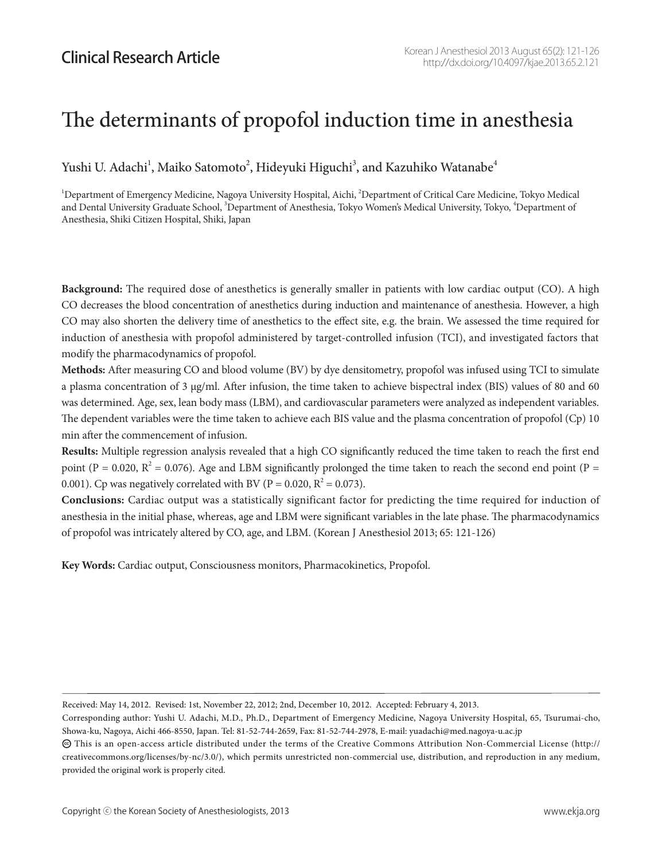# The determinants of propofol induction time in anesthesia

Yushi U. Adachi $^{\rm l}$ , Maiko Satomoto $^{\rm 2}$ , Hideyuki Higuchi $^{\rm 3}$ , and Kazuhiko Watanabe $^{\rm 4}$ 

 $^1$ Department of Emergency Medicine, Nagoya University Hospital, Aichi,  $^2$ Department of Critical Care Medicine, Tokyo Medical and Dental University Graduate School, <sup>3</sup>Department of Anesthesia, Tokyo Women's Medical University, Tokyo, <sup>4</sup>Department of Anesthesia, Shiki Citizen Hospital, Shiki, Japan

**Background:** The required dose of anesthetics is generally smaller in patients with low cardiac output (CO). A high CO decreases the blood concentration of anesthetics during induction and maintenance of anesthesia. However, a high CO may also shorten the delivery time of anesthetics to the effect site, e.g. the brain. We assessed the time required for induction of anesthesia with propofol administered by target-controlled infusion (TCI), and investigated factors that modify the pharmacodynamics of propofol.

**Methods:** After measuring CO and blood volume (BV) by dye densitometry, propofol was infused using TCI to simulate a plasma concentration of 3 μg/ml. After infusion, the time taken to achieve bispectral index (BIS) values of 80 and 60 was determined. Age, sex, lean body mass (LBM), and cardiovascular parameters were analyzed as independent variables. The dependent variables were the time taken to achieve each BIS value and the plasma concentration of propofol (Cp) 10 min after the commencement of infusion.

**Results:** Multiple regression analysis revealed that a high CO significantly reduced the time taken to reach the first end point (P = 0.020,  $R^2$  = 0.076). Age and LBM significantly prolonged the time taken to reach the second end point (P = 0.001). Cp was negatively correlated with BV (P = 0.020,  $R^2 = 0.073$ ).

**Conclusions:** Cardiac output was a statistically significant factor for predicting the time required for induction of anesthesia in the initial phase, whereas, age and LBM were significant variables in the late phase. The pharmacodynamics of propofol was intricately altered by CO, age, and LBM. (Korean J Anesthesiol 2013; 65: 121-126)

**Key Words:** Cardiac output, Consciousness monitors, Pharmacokinetics, Propofol.

Received: May 14, 2012. Revised: 1st, November 22, 2012; 2nd, December 10, 2012. Accepted: February 4, 2013.

Corresponding author: Yushi U. Adachi, M.D., Ph.D., Department of Emergency Medicine, Nagoya University Hospital, 65, Tsurumai-cho, Showa-ku, Nagoya, Aichi 466-8550, Japan. Tel: 81-52-744-2659, Fax: 81-52-744-2978, E-mail: yuadachi@med.nagoya-u.ac.jp

 $\bm{\odot}$  This is an open-access article distributed under the terms of the Creative Commons Attribution Non-Commercial License (http:// creativecommons.org/licenses/by-nc/3.0/), which permits unrestricted non-commercial use, distribution, and reproduction in any medium, provided the original work is properly cited.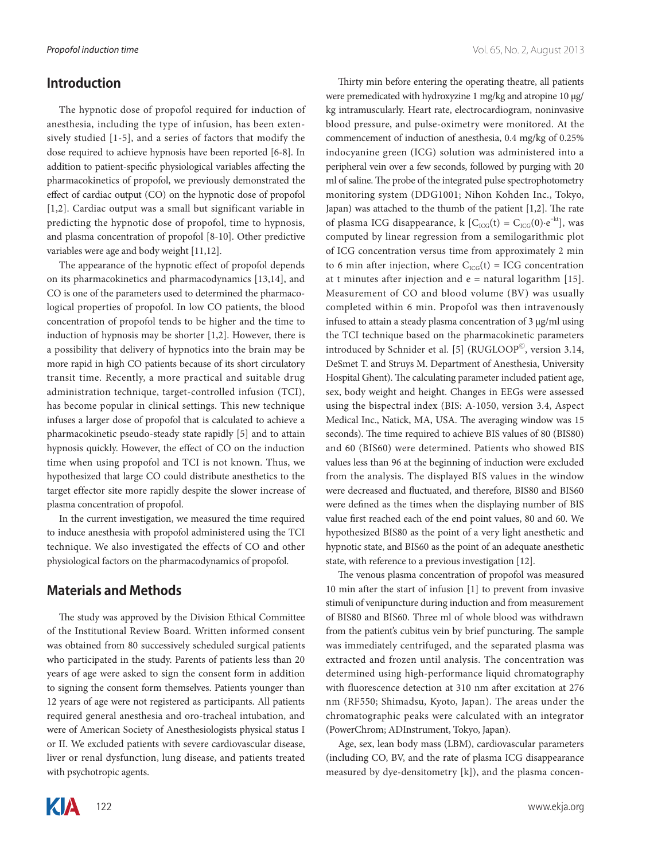#### **Introduction**

The hypnotic dose of propofol required for induction of anesthesia, including the type of infusion, has been extensively studied [1-5], and a series of factors that modify the dose required to achieve hypnosis have been reported [6-8]. In addition to patient-specific physiological variables affecting the pharmacokinetics of propofol, we previously demonstrated the effect of cardiac output (CO) on the hypnotic dose of propofol [1,2]. Cardiac output was a small but significant variable in predicting the hypnotic dose of propofol, time to hypnosis, and plasma concentration of propofol [8-10]. Other predictive variables were age and body weight [11,12].

The appearance of the hypnotic effect of propofol depends on its pharmacokinetics and pharmacodynamics [13,14], and CO is one of the parameters used to determined the pharmacological properties of propofol. In low CO patients, the blood concentration of propofol tends to be higher and the time to induction of hypnosis may be shorter [1,2]. However, there is a possibility that delivery of hypnotics into the brain may be more rapid in high CO patients because of its short circulatory transit time. Recently, a more practical and suitable drug administration technique, target-controlled infusion (TCI), has become popular in clinical settings. This new technique infuses a larger dose of propofol that is calculated to achieve a pharmacokinetic pseudo-steady state rapidly [5] and to attain hypnosis quickly. However, the effect of CO on the induction time when using propofol and TCI is not known. Thus, we hypothesized that large CO could distribute anesthetics to the target effector site more rapidly despite the slower increase of plasma concentration of propofol.

In the current investigation, we measured the time required to induce anesthesia with propofol administered using the TCI technique. We also investigated the effects of CO and other physiological factors on the pharmacodynamics of propofol.

#### **Materials and Methods**

The study was approved by the Division Ethical Committee of the Institutional Review Board. Written informed consent was obtained from 80 successively scheduled surgical patients who participated in the study. Parents of patients less than 20 years of age were asked to sign the consent form in addition to signing the consent form themselves. Patients younger than 12 years of age were not registered as participants. All patients required general anesthesia and oro-tracheal intubation, and were of American Society of Anesthesiologists physical status I or II. We excluded patients with severe cardiovascular disease, liver or renal dysfunction, lung disease, and patients treated with psychotropic agents.

Thirty min before entering the operating theatre, all patients were premedicated with hydroxyzine 1 mg/kg and atropine 10 μg/ kg intramuscularly. Heart rate, electrocardiogram, noninvasive blood pressure, and pulse-oximetry were monitored. At the commencement of induction of anesthesia, 0.4 mg/kg of 0.25% indocyanine green (ICG) solution was administered into a peripheral vein over a few seconds, followed by purging with 20 ml of saline. The probe of the integrated pulse spectrophotometry monitoring system (DDG1001; Nihon Kohden Inc., Tokyo, Japan) was attached to the thumb of the patient [1,2]. The rate of plasma ICG disappearance, k  $[C_{\text{ICG}}(t) = C_{\text{ICG}}(0) \cdot e^{-kt}]$ , was computed by linear regression from a semilogarithmic plot of ICG concentration versus time from approximately 2 min to 6 min after injection, where  $C_{\text{ICG}}(t) = ICG$  concentration at t minutes after injection and  $e =$  natural logarithm [15]. Measurement of CO and blood volume (BV) was usually completed within 6 min. Propofol was then intravenously infused to attain a steady plasma concentration of 3 μg/ml using the TCI technique based on the pharmacokinetic parameters introduced by Schnider et al. [5] (RUGLOOP<sup>©</sup>, version 3.14, DeSmet T. and Struys M. Department of Anesthesia, University Hospital Ghent). The calculating parameter included patient age, sex, body weight and height. Changes in EEGs were assessed using the bispectral index (BIS: A-1050, version 3.4, Aspect Medical Inc., Natick, MA, USA. The averaging window was 15 seconds). The time required to achieve BIS values of 80 (BIS80) and 60 (BIS60) were determined. Patients who showed BIS values less than 96 at the beginning of induction were excluded from the analysis. The displayed BIS values in the window were decreased and fluctuated, and therefore, BIS80 and BIS60 were defined as the times when the displaying number of BIS value first reached each of the end point values, 80 and 60. We hypothesized BIS80 as the point of a very light anesthetic and hypnotic state, and BIS60 as the point of an adequate anesthetic state, with reference to a previous investigation [12].

The venous plasma concentration of propofol was measured 10 min after the start of infusion [1] to prevent from invasive stimuli of venipuncture during induction and from measurement of BIS80 and BIS60. Three ml of whole blood was withdrawn from the patient's cubitus vein by brief puncturing. The sample was immediately centrifuged, and the separated plasma was extracted and frozen until analysis. The concentration was determined using high-performance liquid chromatography with fluorescence detection at 310 nm after excitation at 276 nm (RF550; Shimadsu, Kyoto, Japan). The areas under the chromatographic peaks were calculated with an integrator (PowerChrom; ADInstrument, Tokyo, Japan).

Age, sex, lean body mass (LBM), cardiovascular parameters (including CO, BV, and the rate of plasma ICG disappearance measured by dye-densitometry [k]), and the plasma concen-

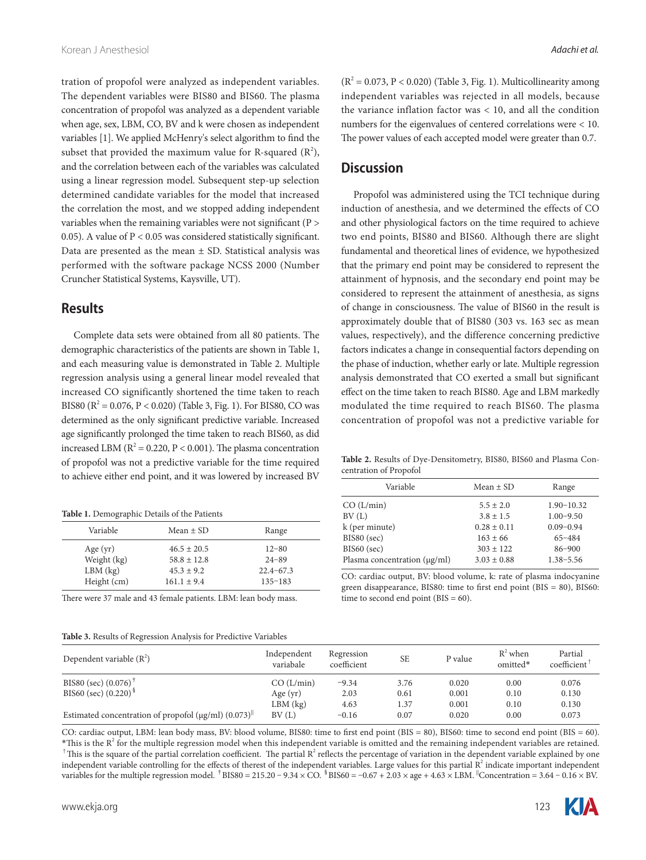tration of propofol were analyzed as independent variables. The dependent variables were BIS80 and BIS60. The plasma concentration of propofol was analyzed as a dependent variable when age, sex, LBM, CO, BV and k were chosen as independent variables [1]. We applied McHenry's select algorithm to find the subset that provided the maximum value for R-squared  $(R^2)$ , and the correlation between each of the variables was calculated using a linear regression model. Subsequent step-up selection determined candidate variables for the model that increased the correlation the most, and we stopped adding independent variables when the remaining variables were not significant (P > 0.05). A value of P < 0.05 was considered statistically significant. Data are presented as the mean  $\pm$  SD. Statistical analysis was performed with the software package NCSS 2000 (Number Cruncher Statistical Systems, Kaysville, UT).

#### **Results**

Complete data sets were obtained from all 80 patients. The demographic characteristics of the patients are shown in Table 1, and each measuring value is demonstrated in Table 2. Multiple regression analysis using a general linear model revealed that increased CO significantly shortened the time taken to reach BIS80 ( $R^2 = 0.076$ ,  $P < 0.020$ ) (Table 3, Fig. 1). For BIS80, CO was determined as the only significant predictive variable. Increased age significantly prolonged the time taken to reach BIS60, as did increased LBM ( $R^2 = 0.220$ ,  $P < 0.001$ ). The plasma concentration of propofol was not a predictive variable for the time required to achieve either end point, and it was lowered by increased BV

**Table 1.** Demographic Details of the Patients

| Variable                                               | Mean $\pm$ SD                                                         | Range                                                  |
|--------------------------------------------------------|-----------------------------------------------------------------------|--------------------------------------------------------|
| Age $(yr)$<br>Weight (kg)<br>$LBM$ (kg)<br>Height (cm) | $46.5 \pm 20.5$<br>$58.8 \pm 12.8$<br>$45.3 + 9.2$<br>$161.1 \pm 9.4$ | $12 - 80$<br>$24 - 89$<br>$22.4 - 67.3$<br>$135 - 183$ |
|                                                        |                                                                       |                                                        |
|                                                        |                                                                       |                                                        |

There were 37 male and 43 female patients. LBM: lean body mass.

**Table 3.** Results of Regression Analysis for Predictive Variables

 $(R<sup>2</sup> = 0.073, P < 0.020)$  (Table 3, Fig. 1). Multicollinearity among independent variables was rejected in all models, because the variance inflation factor was < 10, and all the condition numbers for the eigenvalues of centered correlations were < 10. The power values of each accepted model were greater than 0.7.

### **Discussion**

Propofol was administered using the TCI technique during induction of anesthesia, and we determined the effects of CO and other physiological factors on the time required to achieve two end points, BIS80 and BIS60. Although there are slight fundamental and theoretical lines of evidence, we hypothesized that the primary end point may be considered to represent the attainment of hypnosis, and the secondary end point may be considered to represent the attainment of anesthesia, as signs of change in consciousness. The value of BIS60 in the result is approximately double that of BIS80 (303 vs. 163 sec as mean values, respectively), and the difference concerning predictive factors indicates a change in consequential factors depending on the phase of induction, whether early or late. Multiple regression analysis demonstrated that CO exerted a small but significant effect on the time taken to reach BIS80. Age and LBM markedly modulated the time required to reach BIS60. The plasma concentration of propofol was not a predictive variable for

**Table 2.** Results of Dye-Densitometry, BIS80, BIS60 and Plasma Concentration of Propofol

| Variable                          | Mean $\pm$ SD   | Range          |  |  |
|-----------------------------------|-----------------|----------------|--|--|
| CO (L/min)                        | $5.5 \pm 2.0$   | $1.90 - 10.32$ |  |  |
| BV(L)                             | $3.8 \pm 1.5$   | $1.00 - 9.50$  |  |  |
| k (per minute)                    | $0.28 \pm 0.11$ | $0.09 - 0.94$  |  |  |
| BIS80 (sec)                       | $163 \pm 66$    | $65 - 484$     |  |  |
| $BIS60$ (sec)                     | $303 + 122$     | $86 - 900$     |  |  |
| Plasma concentration $(\mu g/ml)$ | $3.03 \pm 0.88$ | $1.38 - 5.56$  |  |  |

CO: cardiac output, BV: blood volume, k: rate of plasma indocyanine green disappearance, BIS80: time to first end point (BIS = 80), BIS60: time to second end point ( $BIS = 60$ ).

| Dependent variable $(R^2)$                                              | Independent<br>variabale | Regression<br>coefficient | <b>SE</b> | P value | $R^2$ when<br>omitted* | Partial<br>coefficient <sup>1</sup> |
|-------------------------------------------------------------------------|--------------------------|---------------------------|-----------|---------|------------------------|-------------------------------------|
| BIS80 (sec) $(0.076)^{\dagger}$                                         | CO (L/min)               | $-9.34$                   | 3.76      | 0.020   | 0.00                   | 0.076                               |
| BIS60 (sec) $(0.220)$ <sup>§</sup>                                      | Age $(yr)$               | 2.03                      | 0.61      | 0.001   | 0.10                   | 0.130                               |
|                                                                         | $LBM$ ( $kg$ )           | 4.63                      | 1.37      | 0.001   | 0.10                   | 0.130                               |
| Estimated concentration of propofol ( $\mu$ g/ml) (0.073) <sup>  </sup> | BV(L)                    | $-0.16$                   | 0.07      | 0.020   | 0.00                   | 0.073                               |

CO: cardiac output, LBM: lean body mass, BV: blood volume, BIS80: time to first end point (BIS = 80), BIS60: time to second end point (BIS = 60).  $*$ This is the  $R^2$  for the multiple regression model when this independent variable is omitted and the remaining independent variables are retained. <sup> $+$ </sup>This is the square of the partial correlation coefficient. The partial  $R^2$  reflects the percentage of variation in the dependent variable explained by one independent variable controlling for the effects of therest of the independent variables. Large values for this partial  $R^2$  indicate important independent variables for the multiple regression model.  $^{\dagger}$ BIS80 = 215.20 - 9.34 × CO.  $^{\dagger}$ BIS60 = -0.67 + 2.03 × age + 4.63 × LBM. Concentration = 3.64 - 0.16 × BV.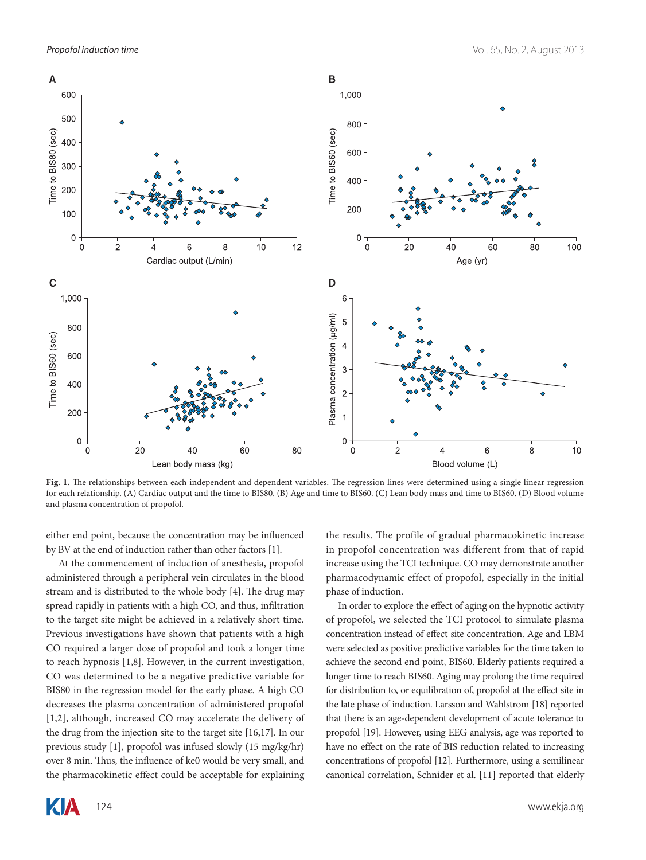

**Fig. 1.** The relationships between each independent and dependent variables. The regression lines were determined using a single linear regression for each relationship. (A) Cardiac output and the time to BIS80. (B) Age and time to BIS60. (C) Lean body mass and time to BIS60. (D) Blood volume and plasma concentration of propofol.

either end point, because the concentration may be influenced by BV at the end of induction rather than other factors [1].

At the commencement of induction of anesthesia, propofol administered through a peripheral vein circulates in the blood stream and is distributed to the whole body [4]. The drug may spread rapidly in patients with a high CO, and thus, infiltration to the target site might be achieved in a relatively short time. Previous investigations have shown that patients with a high CO required a larger dose of propofol and took a longer time to reach hypnosis [1,8]. However, in the current investigation, CO was determined to be a negative predictive variable for BIS80 in the regression model for the early phase. A high CO decreases the plasma concentration of administered propofol [1,2], although, increased CO may accelerate the delivery of the drug from the injection site to the target site [16,17]. In our previous study [1], propofol was infused slowly (15 mg/kg/hr) over 8 min. Thus, the influence of ke0 would be very small, and the pharmacokinetic effect could be acceptable for explaining

the results. The profile of gradual pharmacokinetic increase in propofol concentration was different from that of rapid increase using the TCI technique. CO may demonstrate another pharmacodynamic effect of propofol, especially in the initial phase of induction.

In order to explore the effect of aging on the hypnotic activity of propofol, we selected the TCI protocol to simulate plasma concentration instead of effect site concentration. Age and LBM were selected as positive predictive variables for the time taken to achieve the second end point, BIS60. Elderly patients required a longer time to reach BIS60. Aging may prolong the time required for distribution to, or equilibration of, propofol at the effect site in the late phase of induction. Larsson and Wahlstrom [18] reported that there is an age-dependent development of acute tolerance to propofol [19]. However, using EEG analysis, age was reported to have no effect on the rate of BIS reduction related to increasing concentrations of propofol [12]. Furthermore, using a semilinear canonical correlation, Schnider et al. [11] reported that elderly

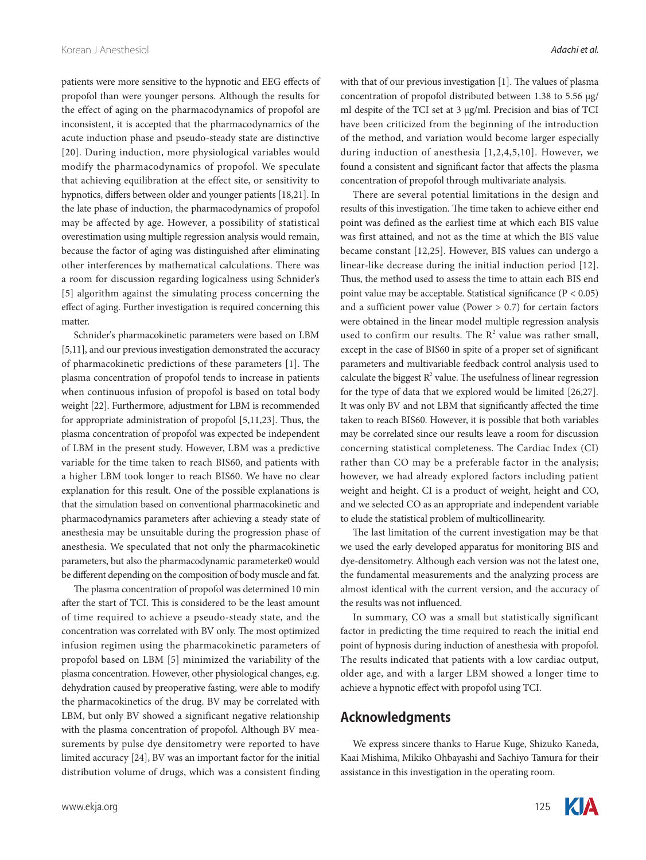patients were more sensitive to the hypnotic and EEG effects of propofol than were younger persons. Although the results for the effect of aging on the pharmacodynamics of propofol are inconsistent, it is accepted that the pharmacodynamics of the acute induction phase and pseudo-steady state are distinctive [20]. During induction, more physiological variables would modify the pharmacodynamics of propofol. We speculate that achieving equilibration at the effect site, or sensitivity to hypnotics, differs between older and younger patients [18,21]. In the late phase of induction, the pharmacodynamics of propofol may be affected by age. However, a possibility of statistical overestimation using multiple regression analysis would remain, because the factor of aging was distinguished after eliminating other interferences by mathematical calculations. There was a room for discussion regarding logicalness using Schnider's [5] algorithm against the simulating process concerning the effect of aging. Further investigation is required concerning this matter.

Schnider's pharmacokinetic parameters were based on LBM [5,11], and our previous investigation demonstrated the accuracy of pharmacokinetic predictions of these parameters [1]. The plasma concentration of propofol tends to increase in patients when continuous infusion of propofol is based on total body weight [22]. Furthermore, adjustment for LBM is recommended for appropriate administration of propofol [5,11,23]. Thus, the plasma concentration of propofol was expected be independent of LBM in the present study. However, LBM was a predictive variable for the time taken to reach BIS60, and patients with a higher LBM took longer to reach BIS60. We have no clear explanation for this result. One of the possible explanations is that the simulation based on conventional pharmacokinetic and pharmacodynamics parameters after achieving a steady state of anesthesia may be unsuitable during the progression phase of anesthesia. We speculated that not only the pharmacokinetic parameters, but also the pharmacodynamic parameterke0 would be different depending on the composition of body muscle and fat.

The plasma concentration of propofol was determined 10 min after the start of TCI. This is considered to be the least amount of time required to achieve a pseudo-steady state, and the concentration was correlated with BV only. The most optimized infusion regimen using the pharmacokinetic parameters of propofol based on LBM [5] minimized the variability of the plasma concentration. However, other physiological changes, e.g. dehydration caused by preoperative fasting, were able to modify the pharmacokinetics of the drug. BV may be correlated with LBM, but only BV showed a significant negative relationship with the plasma concentration of propofol. Although BV measurements by pulse dye densitometry were reported to have limited accuracy [24], BV was an important factor for the initial distribution volume of drugs, which was a consistent finding with that of our previous investigation [1]. The values of plasma concentration of propofol distributed between 1.38 to 5.56 μg/ ml despite of the TCI set at 3 μg/ml. Precision and bias of TCI have been criticized from the beginning of the introduction of the method, and variation would become larger especially during induction of anesthesia [1,2,4,5,10]. However, we found a consistent and significant factor that affects the plasma concentration of propofol through multivariate analysis.

There are several potential limitations in the design and results of this investigation. The time taken to achieve either end point was defined as the earliest time at which each BIS value was first attained, and not as the time at which the BIS value became constant [12,25]. However, BIS values can undergo a linear-like decrease during the initial induction period [12]. Thus, the method used to assess the time to attain each BIS end point value may be acceptable. Statistical significance (P < 0.05) and a sufficient power value (Power  $> 0.7$ ) for certain factors were obtained in the linear model multiple regression analysis used to confirm our results. The  $R^2$  value was rather small, except in the case of BIS60 in spite of a proper set of significant parameters and multivariable feedback control analysis used to calculate the biggest  $R^2$  value. The usefulness of linear regression for the type of data that we explored would be limited [26,27]. It was only BV and not LBM that significantly affected the time taken to reach BIS60. However, it is possible that both variables may be correlated since our results leave a room for discussion concerning statistical completeness. The Cardiac Index (CI) rather than CO may be a preferable factor in the analysis; however, we had already explored factors including patient weight and height. CI is a product of weight, height and CO, and we selected CO as an appropriate and independent variable to elude the statistical problem of multicollinearity.

The last limitation of the current investigation may be that we used the early developed apparatus for monitoring BIS and dye-densitometry. Although each version was not the latest one, the fundamental measurements and the analyzing process are almost identical with the current version, and the accuracy of the results was not influenced.

In summary, CO was a small but statistically significant factor in predicting the time required to reach the initial end point of hypnosis during induction of anesthesia with propofol. The results indicated that patients with a low cardiac output, older age, and with a larger LBM showed a longer time to achieve a hypnotic effect with propofol using TCI.

## **Acknowledgments**

We express sincere thanks to Harue Kuge, Shizuko Kaneda, Kaai Mishima, Mikiko Ohbayashi and Sachiyo Tamura for their assistance in this investigation in the operating room.